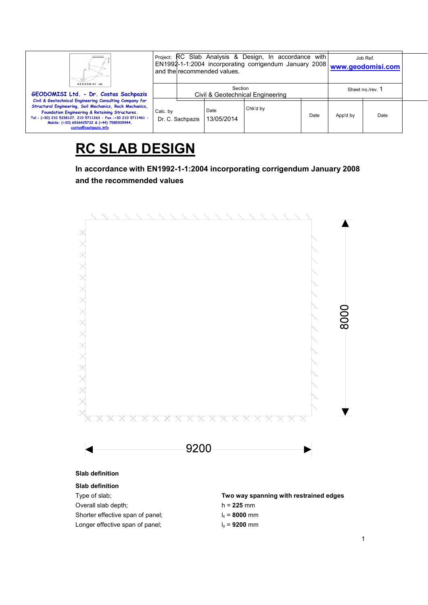| Ш.<br>GEODOMISI Ltd.<br>GEODOMISI Ltd. - Dr. Costas Sachpazis<br>Civil & Geotechnical Engineering Consulting Company for<br>Structural Engineering, Soil Mechanics, Rock Mechanics,<br>Foundation Engineering & Retaining Structures.<br>Tel.: (+30) 210 5238127, 210 5711263 - Fax.:+30 210 5711461 -<br>Mobile: (+30) 6936425722 & (+44) 7585939944.<br>costas@sachpazis.info |          | Project: RC Slab Analysis & Design, In accordance<br>with l<br>EN1992-1-1:2004 incorporating corrigendum January 2008   www.geodomisi.com<br>and the recommended values. |                    |          |      |          | Job Ref.         |  |
|---------------------------------------------------------------------------------------------------------------------------------------------------------------------------------------------------------------------------------------------------------------------------------------------------------------------------------------------------------------------------------|----------|--------------------------------------------------------------------------------------------------------------------------------------------------------------------------|--------------------|----------|------|----------|------------------|--|
|                                                                                                                                                                                                                                                                                                                                                                                 |          | Section<br>Civil & Geotechnical Engineering                                                                                                                              |                    |          |      |          | Sheet no./rev. 1 |  |
|                                                                                                                                                                                                                                                                                                                                                                                 | Calc. by | Dr. C. Sachpazis                                                                                                                                                         | Date<br>13/05/2014 | Chk'd by | Date | App'd by | Date             |  |

# **RC SLAB DESIGN**

**In accordance with EN1992-1-1:2004 incorporating corrigendum January 2008 and the recommended values** 

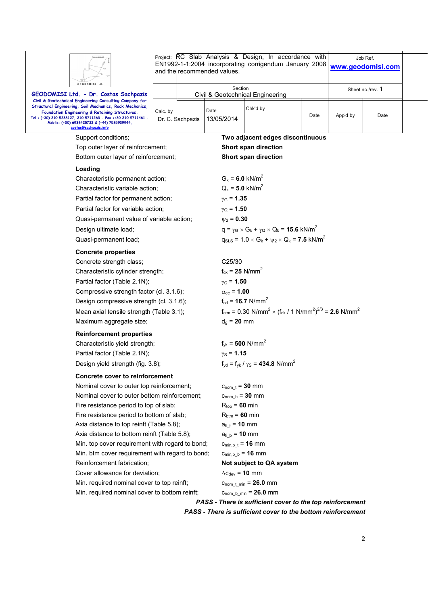| GEODOMISI Ltd.                                                                                                                                                                                                                                                                                                                                                                                                                                                                                                                                                                             | Project: RC Slab Analysis & Design, In accordance with<br>EN1992-1-1:2004 incorporating corrigendum January 2008<br>and the recommended values. | Job Ref.<br>www.geodomisi.com                                                                                                                                              |                                                                                                                                                                     |      |                  |      |  |  |
|--------------------------------------------------------------------------------------------------------------------------------------------------------------------------------------------------------------------------------------------------------------------------------------------------------------------------------------------------------------------------------------------------------------------------------------------------------------------------------------------------------------------------------------------------------------------------------------------|-------------------------------------------------------------------------------------------------------------------------------------------------|----------------------------------------------------------------------------------------------------------------------------------------------------------------------------|---------------------------------------------------------------------------------------------------------------------------------------------------------------------|------|------------------|------|--|--|
| GEODOMISI Ltd. - Dr. Costas Sachpazis                                                                                                                                                                                                                                                                                                                                                                                                                                                                                                                                                      |                                                                                                                                                 | Section                                                                                                                                                                    | Civil & Geotechnical Engineering                                                                                                                                    |      | Sheet no./rev. 1 |      |  |  |
| Civil & Geotechnical Engineering Consulting Company for<br>Structural Engineering, Soil Mechanics, Rock Mechanics,<br>Foundation Engineering & Retaining Structures.<br>Tel.: (+30) 210 5238127, 210 5711263 - Fax.:+30 210 5711461 -<br>Mobile: (+30) 6936425722 & (+44) 7585939944,<br>costas@sachpazis.info                                                                                                                                                                                                                                                                             | Calc. by<br>Dr. C. Sachpazis                                                                                                                    | Date<br>13/05/2014                                                                                                                                                         | Chk'd by                                                                                                                                                            | Date | App'd by         | Date |  |  |
| Support conditions;                                                                                                                                                                                                                                                                                                                                                                                                                                                                                                                                                                        |                                                                                                                                                 |                                                                                                                                                                            | Two adjacent edges discontinuous                                                                                                                                    |      |                  |      |  |  |
| Top outer layer of reinforcement;                                                                                                                                                                                                                                                                                                                                                                                                                                                                                                                                                          |                                                                                                                                                 |                                                                                                                                                                            | Short span direction                                                                                                                                                |      |                  |      |  |  |
| Bottom outer layer of reinforcement;                                                                                                                                                                                                                                                                                                                                                                                                                                                                                                                                                       |                                                                                                                                                 |                                                                                                                                                                            | Short span direction                                                                                                                                                |      |                  |      |  |  |
| Loading<br>Characteristic permanent action;<br>Characteristic variable action;<br>Partial factor for permanent action;<br>Partial factor for variable action;<br>Quasi-permanent value of variable action;<br>Design ultimate load;                                                                                                                                                                                                                                                                                                                                                        |                                                                                                                                                 | $G_k = 6.0$ kN/m <sup>2</sup><br>$Q_k = 5.0$ kN/m <sup>2</sup><br>$y_G = 1.35$<br>$\gamma_{\rm Q}$ = 1.50<br>$\psi_2 = 0.30$                                               | $q = \gamma_G \times G_k + \gamma_Q \times Q_k = 15.6$ kN/m <sup>2</sup>                                                                                            |      |                  |      |  |  |
| Quasi-permanent load;                                                                                                                                                                                                                                                                                                                                                                                                                                                                                                                                                                      |                                                                                                                                                 |                                                                                                                                                                            | $q_{SLS} = 1.0 \times G_k + \psi_2 \times Q_k = 7.5$ kN/m <sup>2</sup>                                                                                              |      |                  |      |  |  |
| <b>Concrete properties</b><br>Concrete strength class;<br>Characteristic cylinder strength;<br>Partial factor (Table 2.1N);<br>Compressive strength factor (cl. 3.1.6);<br>Design compressive strength (cl. 3.1.6);<br>Mean axial tensile strength (Table 3.1);<br>Maximum aggregate size;                                                                                                                                                                                                                                                                                                 |                                                                                                                                                 | C25/30<br>$f_{ck} = 25$ N/mm <sup>2</sup><br>$\gamma_{\rm C}$ = 1.50<br>$\alpha_{\rm cc}$ = 1.00<br>$d_q = 20$ mm                                                          | $f_{\rm cd}$ = 16.7 N/mm <sup>2</sup><br>$f_{\text{ctm}} = 0.30 \text{ N/mm}^2 \times (f_{\text{ck}} / 1 \text{ N/mm}^2)^{2/3} = 2.6 \text{ N/mm}^2$                |      |                  |      |  |  |
| <b>Reinforcement properties</b>                                                                                                                                                                                                                                                                                                                                                                                                                                                                                                                                                            |                                                                                                                                                 |                                                                                                                                                                            |                                                                                                                                                                     |      |                  |      |  |  |
| Characteristic yield strength;                                                                                                                                                                                                                                                                                                                                                                                                                                                                                                                                                             |                                                                                                                                                 |                                                                                                                                                                            | $f_{yk} = 500$ N/mm <sup>2</sup>                                                                                                                                    |      |                  |      |  |  |
| Partial factor (Table 2.1N);                                                                                                                                                                                                                                                                                                                                                                                                                                                                                                                                                               |                                                                                                                                                 |                                                                                                                                                                            | $\gamma_{\rm S}$ = 1.15                                                                                                                                             |      |                  |      |  |  |
| Design yield strength (fig. 3.8);                                                                                                                                                                                                                                                                                                                                                                                                                                                                                                                                                          |                                                                                                                                                 |                                                                                                                                                                            | $f_{\text{vd}} = f_{\text{vk}} / \gamma_{\text{S}} = 434.8 \text{ N/mm}^2$                                                                                          |      |                  |      |  |  |
| <b>Concrete cover to reinforcement</b><br>Nominal cover to outer top reinforcement;<br>Nominal cover to outer bottom reinforcement;<br>Fire resistance period to top of slab;<br>Fire resistance period to bottom of slab;<br>Axia distance to top reinft (Table 5.8);<br>Axia distance to bottom reinft (Table 5.8);<br>Min. top cover requirement with regard to bond;<br>Min. btm cover requirement with regard to bond;<br>Reinforcement fabrication;<br>Cover allowance for deviation;<br>Min. required nominal cover to top reinft;<br>Min. required nominal cover to bottom reinft; |                                                                                                                                                 | $c_{nom t} = 30$ mm<br>$C_{\text{nom b}} = 30$ mm<br>$R_{top}$ = 60 min<br>$R_{\text{btm}} = 60$ min<br>$a_{fi}$ = 10 mm<br>$a_{fi b} = 10$ mm<br>$\Delta c_{dev}$ = 10 mm | $c_{\text{min},b_t} = 16$ mm<br>$C_{min,b b} = 16$ mm<br>Not subject to QA system<br>$c_{\text{nom t min}} = 26.0 \text{ mm}$<br>$C_{\text{nom_b_{min}}} = 26.0$ mm |      |                  |      |  |  |
|                                                                                                                                                                                                                                                                                                                                                                                                                                                                                                                                                                                            |                                                                                                                                                 |                                                                                                                                                                            | PASS - There is sufficient cover to the top reinforcement                                                                                                           |      |                  |      |  |  |
|                                                                                                                                                                                                                                                                                                                                                                                                                                                                                                                                                                                            |                                                                                                                                                 |                                                                                                                                                                            | PASS - There is sufficient cover to the bottom reinforcement                                                                                                        |      |                  |      |  |  |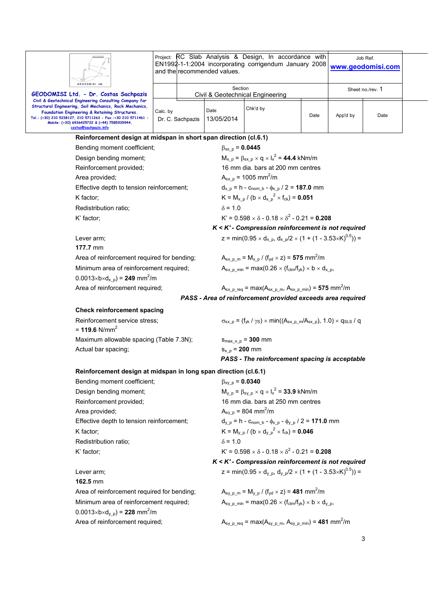| GEODOMISI Ltd                                                                                                                                                                                                                                                                                                  |          |                  | and the recommended values.                                                                            | Project: RC Slab Analysis & Design, In accordance with<br>EN1992-1-1:2004 incorporating corrigendum January 2008               |                  |          | Job Ref.<br>www.geodomisi.com |  |  |
|----------------------------------------------------------------------------------------------------------------------------------------------------------------------------------------------------------------------------------------------------------------------------------------------------------------|----------|------------------|--------------------------------------------------------------------------------------------------------|--------------------------------------------------------------------------------------------------------------------------------|------------------|----------|-------------------------------|--|--|
| GEODOMISI Ltd. - Dr. Costas Sachpazis                                                                                                                                                                                                                                                                          |          |                  | Section                                                                                                | Civil & Geotechnical Engineering                                                                                               | Sheet no./rev. 1 |          |                               |  |  |
| Civil & Geotechnical Engineering Consulting Company for<br>Structural Engineering, Soil Mechanics, Rock Mechanics,<br>Foundation Engineering & Retaining Structures.<br>Tel.: (+30) 210 5238127, 210 5711263 - Fax.:+30 210 5711461 -<br>Mobile: (+30) 6936425722 & (+44) 7585939944,<br>costas@sachpazis.info | Calc. by | Dr. C. Sachpazis | Date<br>13/05/2014                                                                                     | Chk'd by                                                                                                                       | Date             | App'd by | Date                          |  |  |
| Reinforcement design at midspan in short span direction (cl.6.1)                                                                                                                                                                                                                                               |          |                  |                                                                                                        |                                                                                                                                |                  |          |                               |  |  |
| Bending moment coefficient;                                                                                                                                                                                                                                                                                    |          |                  | $\beta_{\rm SX D} = 0.0445$                                                                            |                                                                                                                                |                  |          |                               |  |  |
| Design bending moment;                                                                                                                                                                                                                                                                                         |          |                  |                                                                                                        | $M_{x-p} = \beta_{sx-p} \times q \times I_x^2 = 44.4$ kNm/m                                                                    |                  |          |                               |  |  |
| Reinforcement provided;                                                                                                                                                                                                                                                                                        |          |                  |                                                                                                        | 16 mm dia. bars at 200 mm centres                                                                                              |                  |          |                               |  |  |
| Area provided;                                                                                                                                                                                                                                                                                                 |          |                  |                                                                                                        | $A_{sx,p}$ = 1005 mm <sup>2</sup> /m                                                                                           |                  |          |                               |  |  |
| Effective depth to tension reinforcement;                                                                                                                                                                                                                                                                      |          |                  |                                                                                                        | $d_{x,p} = h - c_{\text{nom}-b} - \phi_{x,p} / 2 = 187.0$ mm                                                                   |                  |          |                               |  |  |
| K factor;                                                                                                                                                                                                                                                                                                      |          |                  |                                                                                                        | $K = M_{x, p} / (b \times d_{x, p}^{2} \times f_{ck}) = 0.051$                                                                 |                  |          |                               |  |  |
| Redistribution ratio:                                                                                                                                                                                                                                                                                          |          |                  | $\delta$ = 1.0                                                                                         |                                                                                                                                |                  |          |                               |  |  |
| K' factor;                                                                                                                                                                                                                                                                                                     |          |                  |                                                                                                        | $K' = 0.598 \times \delta - 0.18 \times \delta^2 - 0.21 = 0.208$                                                               |                  |          |                               |  |  |
|                                                                                                                                                                                                                                                                                                                |          |                  |                                                                                                        | K < K' - Compression reinforcement is not required                                                                             |                  |          |                               |  |  |
| Lever arm;                                                                                                                                                                                                                                                                                                     |          |                  |                                                                                                        | z = min(0.95 $\times$ d <sub>x p</sub> , d <sub>x p</sub> /2 $\times$ (1 + (1 - 3.53 $\times$ K) <sup>0.5</sup> )) =           |                  |          |                               |  |  |
| $177.7 \text{ mm}$                                                                                                                                                                                                                                                                                             |          |                  |                                                                                                        |                                                                                                                                |                  |          |                               |  |  |
| Area of reinforcement required for bending;                                                                                                                                                                                                                                                                    |          |                  |                                                                                                        | $A_{sx.p.m} = M_{x.p} / (f_{yd} \times z) = 575$ mm <sup>2</sup> /m                                                            |                  |          |                               |  |  |
| Minimum area of reinforcement required;                                                                                                                                                                                                                                                                        |          |                  |                                                                                                        | $A_{sx}$ p min = max(0.26 $\times$ (f <sub>ctm</sub> /f <sub>yk</sub> ) $\times$ b $\times$ d <sub>x p</sub> ,                 |                  |          |                               |  |  |
| $0.0013 \times b \times d_{x,p}$ = 249 mm <sup>2</sup> /m                                                                                                                                                                                                                                                      |          |                  |                                                                                                        |                                                                                                                                |                  |          |                               |  |  |
| Area of reinforcement required;                                                                                                                                                                                                                                                                                |          |                  |                                                                                                        | $A_{sx\_p\_req}$ = max( $A_{sx\_p\_m}$ , $A_{sx\_p\_min}$ ) = 575 mm <sup>2</sup> /m                                           |                  |          |                               |  |  |
|                                                                                                                                                                                                                                                                                                                |          |                  |                                                                                                        | PASS - Area of reinforcement provided exceeds area required                                                                    |                  |          |                               |  |  |
| <b>Check reinforcement spacing</b>                                                                                                                                                                                                                                                                             |          |                  |                                                                                                        |                                                                                                                                |                  |          |                               |  |  |
| Reinforcement service stress;<br>= 119.6 $N/mm^2$                                                                                                                                                                                                                                                              |          |                  |                                                                                                        | $\sigma_{sx,p}$ = (f <sub>yk</sub> / $\gamma_s$ ) × min((A <sub>sx p m</sub> /A <sub>sx p</sub> ), 1.0) × q <sub>SLS</sub> / q |                  |          |                               |  |  |
| Maximum allowable spacing (Table 7.3N);                                                                                                                                                                                                                                                                        |          |                  |                                                                                                        | $S_{\text{max }x p} = 300$ mm                                                                                                  |                  |          |                               |  |  |
| Actual bar spacing;                                                                                                                                                                                                                                                                                            |          |                  | $S_{X, p} = 200$ mm                                                                                    |                                                                                                                                |                  |          |                               |  |  |
|                                                                                                                                                                                                                                                                                                                |          |                  |                                                                                                        | PASS - The reinforcement spacing is acceptable                                                                                 |                  |          |                               |  |  |
| Reinforcement design at midspan in long span direction (cl.6.1)                                                                                                                                                                                                                                                |          |                  |                                                                                                        |                                                                                                                                |                  |          |                               |  |  |
| Bending moment coefficient;                                                                                                                                                                                                                                                                                    |          |                  | $\beta_{\rm sy-p} = 0.0340$                                                                            |                                                                                                                                |                  |          |                               |  |  |
| Design bending moment;                                                                                                                                                                                                                                                                                         |          |                  |                                                                                                        | $M_{y_p} = \beta_{sy_p} \times q \times I_x^2 = 33.9$ kNm/m                                                                    |                  |          |                               |  |  |
| Reinforcement provided;                                                                                                                                                                                                                                                                                        |          |                  | 16 mm dia. bars at 250 mm centres                                                                      |                                                                                                                                |                  |          |                               |  |  |
| Area provided;                                                                                                                                                                                                                                                                                                 |          |                  | $A_{sy\_p}$ = 804 mm <sup>2</sup> /m                                                                   |                                                                                                                                |                  |          |                               |  |  |
| Effective depth to tension reinforcement;                                                                                                                                                                                                                                                                      |          |                  | $d_{y_p} = h - c_{\text{nom_b}} - \phi_{x_p} - \phi_{y_p} / 2 = 171.0$ mm                              |                                                                                                                                |                  |          |                               |  |  |
| K factor;                                                                                                                                                                                                                                                                                                      |          |                  | $K = M_{y_p} / (b \times d_{y_p}^2 \times f_{ck}) = 0.046$                                             |                                                                                                                                |                  |          |                               |  |  |
| Redistribution ratio;                                                                                                                                                                                                                                                                                          |          |                  | $\delta$ = 1.0                                                                                         |                                                                                                                                |                  |          |                               |  |  |
| K' factor;                                                                                                                                                                                                                                                                                                     |          |                  |                                                                                                        | $K' = 0.598 \times \delta - 0.18 \times \delta^2 - 0.21 = 0.208$                                                               |                  |          |                               |  |  |
|                                                                                                                                                                                                                                                                                                                |          |                  |                                                                                                        | $K < K'$ - Compression reinforcement is not required                                                                           |                  |          |                               |  |  |
| Lever arm;                                                                                                                                                                                                                                                                                                     |          |                  |                                                                                                        | z = min(0.95 $\times$ d <sub>y p</sub> , d <sub>y p</sub> /2 $\times$ (1 + (1 - 3.53 $\times$ K) <sup>0.5</sup> )) =           |                  |          |                               |  |  |
| 162.5 mm                                                                                                                                                                                                                                                                                                       |          |                  |                                                                                                        |                                                                                                                                |                  |          |                               |  |  |
| Area of reinforcement required for bending;                                                                                                                                                                                                                                                                    |          |                  |                                                                                                        | $A_{\rm sv,p,m} = M_{\rm v,p} / (f_{\rm vd} \times z) = 481$ mm <sup>2</sup> /m                                                |                  |          |                               |  |  |
| Minimum area of reinforcement required;<br>$0.0013 \times b \times d_{y_p} = 228$ mm <sup>2</sup> /m                                                                                                                                                                                                           |          |                  |                                                                                                        | $A_{\text{sv p min}} = \text{max}(0.26 \times (f_{\text{ctm}}/f_{\text{vk}}) \times b \times d_{\text{v p}},$                  |                  |          |                               |  |  |
| Area of reinforcement required;                                                                                                                                                                                                                                                                                |          |                  | $A_{\text{sy\_p\_req}} = \max(A_{\text{sy\_p\_m}}, A_{\text{sy\_p\_min}}) = 481 \text{ mm}^2/\text{m}$ |                                                                                                                                |                  |          |                               |  |  |

3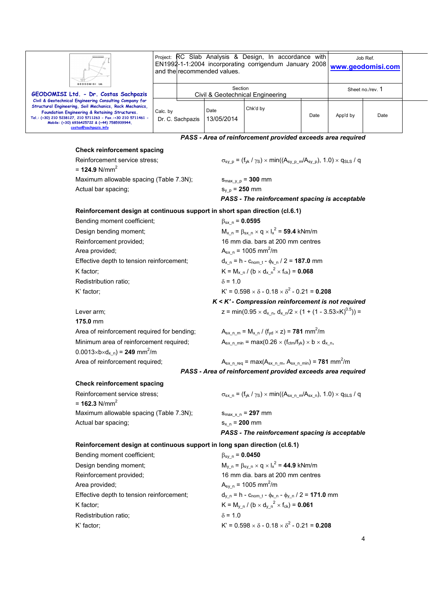| Ш<br>GEODOMISI Ltd.<br>GEODOMISI Ltd. - Dr. Costas Sachpazis<br>Civil & Geotechnical Engineering Consulting Company for<br>Structural Engineering, Soil Mechanics, Rock Mechanics,<br>Foundation Engineering & Retaining Structures.<br>Tel.: (+30) 210 5238127, 210 5711263 - Fax.:+30 210 5711461 -<br>Mobile: (+30) 6936425722 & (+44) 7585939944,<br>costas@sachpazis.info |                                             | Project: RC Slab Analysis & Design, In accordance<br>with<br>EN1992-1-1:2004 incorporating corrigendum January 2008<br>and the recommended values. |                    |                                                             |      |                  | Job Ref.<br>www.geodomisi.com |  |
|--------------------------------------------------------------------------------------------------------------------------------------------------------------------------------------------------------------------------------------------------------------------------------------------------------------------------------------------------------------------------------|---------------------------------------------|----------------------------------------------------------------------------------------------------------------------------------------------------|--------------------|-------------------------------------------------------------|------|------------------|-------------------------------|--|
|                                                                                                                                                                                                                                                                                                                                                                                | Section<br>Civil & Geotechnical Engineering |                                                                                                                                                    |                    |                                                             |      | Sheet no./rev. 1 |                               |  |
|                                                                                                                                                                                                                                                                                                                                                                                | Calc. by                                    | Dr. C. Sachpazis                                                                                                                                   | Date<br>13/05/2014 | Chk'd by                                                    | Date | App'd by         | Date                          |  |
|                                                                                                                                                                                                                                                                                                                                                                                |                                             |                                                                                                                                                    |                    | PASS - Area of reinforcement provided exceeds area required |      |                  |                               |  |

## **Check reinforcement spacing**

 $= 124.9$  N/mm<sup>2</sup>

Maximum allowable spacing (Table 7.3N);  $s_{\text{max}}$ <sub>vp</sub> = **300** mm Actual bar spacing;  $s_{y,p} = 250$  mm

Reinforcement service stress;  $\sigma_{s_y_p} = (f_{yk}/\gamma_s) \times min((A_{s_y_p_m}/A_{s_y_p}), 1.0) \times q_{sL}$  / q

*PASS - The reinforcement spacing is acceptable* 

#### **Reinforcement design at continuous support in short span direction (cl.6.1)**

| Bending moment coefficient;               | $\beta_{sx}$ n = 0.0595                                          |
|-------------------------------------------|------------------------------------------------------------------|
| Design bending moment;                    | $M_{x n} = \beta_{sx n} \times q \times I_x^2 = 59.4$ kNm/m      |
| Reinforcement provided;                   | 16 mm dia, bars at 200 mm centres                                |
| Area provided;                            | $A_{sx,n}$ = 1005 mm <sup>2</sup> /m                             |
| Effective depth to tension reinforcement; | $d_{x n} = h - c_{nom t} - \phi_{x n} / 2 = 187.0$ mm            |
| K factor:                                 | $K = M_{x n} / (b \times d_{x n}^2 \times f_{ck}) = 0.068$       |
| Redistribution ratio;                     | $\delta$ = 1.0                                                   |
| K' factor:                                | $K' = 0.598 \times \delta - 0.18 \times \delta^2 - 0.21 = 0.208$ |
|                                           | $K < K'$ - Compression reinforcement is not required             |

Lever arm;  $z = min(0.95 \times d_{x_n}, d_{x_n}/2 \times (1 + (1 - 3.53 \times K)^{0.5})) =$ **175.0** mm Area of reinforcement required for bending; Minimum area of reinforcement required;  $A_{sx,n,min} = max(0.26 \times (f_{ctm}/f_{yk}) \times b \times d_{x,n}$  $0.0013 \times b \times d_{x_n} = 249$  mm<sup>2</sup>/m

*K < K' - Compression reinforcement is not required* 

 $A_{sx\_n\_m} = M_{x\_n} / (f_{yd} \times z) = 781$  mm<sup>2</sup>/m

# Area of reinforcement required;  $A_{sx\_n\_req} = max(A_{sx\_n\_m}, A_{sx\_n\_min}) = 781$  mm<sup>2</sup>/m *PASS - Area of reinforcement provided exceeds area required*

#### **Check reinforcement spacing**

 $= 162.3$  N/mm<sup>2</sup> Maximum allowable spacing (Table 7.3N);  $s_{\text{max }x,n} = 297 \text{ mm}$ Actual bar spacing;  $s_{x,n} = 200$  mm

Reinforcement service stress;  $\sigma_{sx_n} = (f_{yk} / \gamma_s) \times min((A_{sx_n} / A_{sx_n}), 1.0) \times q_{SLS} / q$ 

*PASS - The reinforcement spacing is acceptable* 

# **Reinforcement design at continuous support in long span direction (cl.6.1)**

| Bending moment coefficient;               | $\beta_{\rm sv}$ n = 0.0450                                        |
|-------------------------------------------|--------------------------------------------------------------------|
| Design bending moment;                    | $M_{v n} = \beta_{s v n} \times q \times I_x^2 = 44.9$ kNm/m       |
| Reinforcement provided;                   | 16 mm dia. bars at 200 mm centres                                  |
| Area provided;                            | $A_{\rm sv}$ n = 1005 mm <sup>2</sup> /m                           |
| Effective depth to tension reinforcement; | $d_{y,n} = h - c_{nom t} - \phi_{x,n} - \phi_{y,n} / 2 = 171.0$ mm |
| K factor:                                 | $K = M_{v n} / (b \times d_{v n}^{2} \times f_{ck}) = 0.061$       |
| Redistribution ratio;                     | $\delta$ = 1.0                                                     |
| K' factor;                                | $K' = 0.598 \times \delta - 0.18 \times \delta^2 - 0.21 = 0.208$   |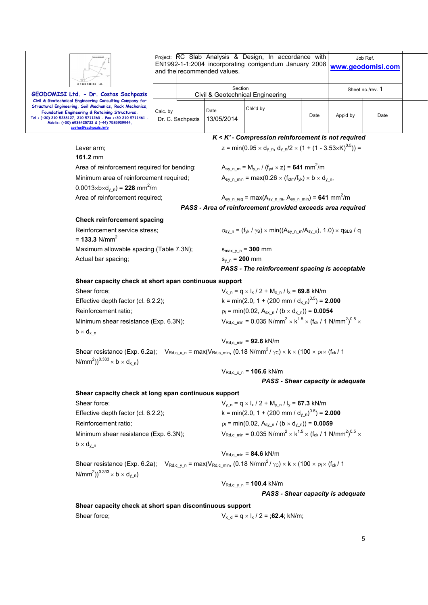| GEODOMISI Ltd                                                                                                                                                                                                                                                                                                  | Project: RC Slab Analysis & Design, In accordance with<br>EN1992-1-1:2004 incorporating corrigendum January 2008<br>and the recommended values. | Job Ref.<br>www.geodomisi.com                                                               |                                                                                                                      |                  |                                                                                                                    |      |  |  |  |  |
|----------------------------------------------------------------------------------------------------------------------------------------------------------------------------------------------------------------------------------------------------------------------------------------------------------------|-------------------------------------------------------------------------------------------------------------------------------------------------|---------------------------------------------------------------------------------------------|----------------------------------------------------------------------------------------------------------------------|------------------|--------------------------------------------------------------------------------------------------------------------|------|--|--|--|--|
| GEODOMISI Ltd. - Dr. Costas Sachpazis                                                                                                                                                                                                                                                                          |                                                                                                                                                 | Section                                                                                     | Civil & Geotechnical Engineering                                                                                     | Sheet no./rev. 1 |                                                                                                                    |      |  |  |  |  |
| Civil & Geotechnical Engineering Consulting Company for<br>Structural Engineering, Soil Mechanics, Rock Mechanics,<br>Foundation Engineering & Retaining Structures.<br>Tel.: (+30) 210 5238127, 210 5711263 - Fax.:+30 210 5711461 -<br>Mobile: (+30) 6936425722 & (+44) 7585939944,<br>costas@sachpazis.info | Calc. by<br>Dr. C. Sachpazis                                                                                                                    | Date<br>13/05/2014                                                                          | Chk'd by                                                                                                             | Date             | App'd by                                                                                                           | Date |  |  |  |  |
|                                                                                                                                                                                                                                                                                                                |                                                                                                                                                 |                                                                                             | K < K' - Compression reinforcement is not required                                                                   |                  |                                                                                                                    |      |  |  |  |  |
| Lever arm;                                                                                                                                                                                                                                                                                                     |                                                                                                                                                 |                                                                                             | z = min(0.95 $\times$ d <sub>y n</sub> , d <sub>y n</sub> /2 $\times$ (1 + (1 - 3.53 $\times$ K) <sup>0.5</sup> )) = |                  |                                                                                                                    |      |  |  |  |  |
| 161.2 mm                                                                                                                                                                                                                                                                                                       |                                                                                                                                                 |                                                                                             |                                                                                                                      |                  |                                                                                                                    |      |  |  |  |  |
| Area of reinforcement required for bending;                                                                                                                                                                                                                                                                    |                                                                                                                                                 |                                                                                             | $A_{\text{sy } n \text{ m}} = M_{\text{y } n} / (f_{\text{yd}} \times z) = 641 \text{ mm}^2/\text{m}$                |                  |                                                                                                                    |      |  |  |  |  |
| Minimum area of reinforcement required;<br>$0.0013 \times b \times d_{v,n}$ = 228 mm <sup>2</sup> /m                                                                                                                                                                                                           |                                                                                                                                                 |                                                                                             | $A_{sy}$ n min = max(0.26 $\times$ (f <sub>ctm</sub> /f <sub>yk</sub> ) $\times$ b $\times$ d <sub>y</sub> n,        |                  |                                                                                                                    |      |  |  |  |  |
| Area of reinforcement required;                                                                                                                                                                                                                                                                                |                                                                                                                                                 |                                                                                             | $A_{\text{sy\_n\_req}} = \max(A_{\text{sy\_n\_m}}, A_{\text{sy\_n\_min}}) = 641 \text{ mm}^2/\text{m}$               |                  |                                                                                                                    |      |  |  |  |  |
|                                                                                                                                                                                                                                                                                                                |                                                                                                                                                 |                                                                                             | PASS - Area of reinforcement provided exceeds area required                                                          |                  |                                                                                                                    |      |  |  |  |  |
| <b>Check reinforcement spacing</b>                                                                                                                                                                                                                                                                             |                                                                                                                                                 |                                                                                             |                                                                                                                      |                  |                                                                                                                    |      |  |  |  |  |
| Reinforcement service stress:<br>= 133.3 $N/mm^2$                                                                                                                                                                                                                                                              |                                                                                                                                                 | $\sigma_{sy,n} = (f_{yk}/\gamma_s) \times min((A_{sy,n,m}/A_{sy,n}), 1.0) \times q_{SLS}/q$ |                                                                                                                      |                  |                                                                                                                    |      |  |  |  |  |
| Maximum allowable spacing (Table 7.3N);                                                                                                                                                                                                                                                                        |                                                                                                                                                 | $S_{\text{max y}_n} = 300$ mm                                                               |                                                                                                                      |                  |                                                                                                                    |      |  |  |  |  |
| Actual bar spacing;                                                                                                                                                                                                                                                                                            |                                                                                                                                                 | $S_{y,n} = 200$ mm                                                                          |                                                                                                                      |                  |                                                                                                                    |      |  |  |  |  |
|                                                                                                                                                                                                                                                                                                                |                                                                                                                                                 | PASS - The reinforcement spacing is acceptable                                              |                                                                                                                      |                  |                                                                                                                    |      |  |  |  |  |
| Shear capacity check at short span continuous support                                                                                                                                                                                                                                                          |                                                                                                                                                 |                                                                                             |                                                                                                                      |                  |                                                                                                                    |      |  |  |  |  |
| Shear force;                                                                                                                                                                                                                                                                                                   |                                                                                                                                                 |                                                                                             | $V_{x,n} = q \times I_x / 2 + M_{x,n} / I_x = 69.8$ kN/m                                                             |                  |                                                                                                                    |      |  |  |  |  |
| Effective depth factor (cl. 6.2.2);                                                                                                                                                                                                                                                                            |                                                                                                                                                 |                                                                                             | k = min(2.0, 1 + (200 mm / $d_{x}$ <sub>n</sub> ) <sup>0.5</sup> ) = <b>2.000</b>                                    |                  |                                                                                                                    |      |  |  |  |  |
| Reinforcement ratio;                                                                                                                                                                                                                                                                                           |                                                                                                                                                 | $p_1 = min(0.02, A_{sx, n} / (b \times d_{x, n})) = 0.0054$                                 |                                                                                                                      |                  |                                                                                                                    |      |  |  |  |  |
| $b \times d_{x}$ <sub>n</sub>                                                                                                                                                                                                                                                                                  | Minimum shear resistance (Exp. 6.3N);                                                                                                           |                                                                                             |                                                                                                                      |                  | $V_{\text{Rd},c,min} = 0.035 \text{ N/mm}^2 \times k^{1.5} \times (f_{\text{ck}} / 1 \text{ N/mm}^2)^{0.5} \times$ |      |  |  |  |  |
|                                                                                                                                                                                                                                                                                                                |                                                                                                                                                 |                                                                                             | $V_{\text{Rd.c}}$ min = 92.6 kN/m                                                                                    |                  |                                                                                                                    |      |  |  |  |  |
| Shear resistance (Exp. 6.2a); $V_{\text{Rd},c_x,n} = \max(V_{\text{Rd},c_{\text{min}}}, (0.18 \text{ N/mm}^2/\gamma_c) \times k \times (100 \times \rho_i \times (f_{ck}/100 \gamma_c))$<br>N/mm <sup>2</sup> )) <sup>0.333</sup> $\times$ b $\times$ d <sub>x n</sub> )                                       |                                                                                                                                                 |                                                                                             |                                                                                                                      |                  |                                                                                                                    |      |  |  |  |  |
|                                                                                                                                                                                                                                                                                                                |                                                                                                                                                 |                                                                                             | $V_{Rd,c_x,n} = 106.6$ kN/m                                                                                          |                  |                                                                                                                    |      |  |  |  |  |
|                                                                                                                                                                                                                                                                                                                |                                                                                                                                                 |                                                                                             | PASS - Shear capacity is adequate                                                                                    |                  |                                                                                                                    |      |  |  |  |  |
| Shear capacity check at long span continuous support                                                                                                                                                                                                                                                           |                                                                                                                                                 |                                                                                             |                                                                                                                      |                  |                                                                                                                    |      |  |  |  |  |
| Shear force;                                                                                                                                                                                                                                                                                                   |                                                                                                                                                 | $V_{y n} = q \times I_x / 2 + M_{y n} / I_y = 67.3$ kN/m                                    |                                                                                                                      |                  |                                                                                                                    |      |  |  |  |  |
| Effective depth factor (cl. 6.2.2);                                                                                                                                                                                                                                                                            |                                                                                                                                                 |                                                                                             | k = min(2.0, 1 + (200 mm / $d_{v}^{0.5}$ ) = <b>2.000</b>                                                            |                  |                                                                                                                    |      |  |  |  |  |
| Reinforcement ratio;                                                                                                                                                                                                                                                                                           |                                                                                                                                                 |                                                                                             | $p_1 = min(0.02, A_{sv, n} / (b \times d_{v, n})) = 0.0059$                                                          |                  |                                                                                                                    |      |  |  |  |  |
| Minimum shear resistance (Exp. 6.3N);                                                                                                                                                                                                                                                                          |                                                                                                                                                 |                                                                                             | $V_{\text{Rd},c,min} = 0.035 \text{ N/mm}^2 \times k^{1.5} \times (f_{\text{ck}} / 1 \text{ N/mm}^2)^{0.5} \times$   |                  |                                                                                                                    |      |  |  |  |  |
| $b \times d_{y_n}$                                                                                                                                                                                                                                                                                             |                                                                                                                                                 |                                                                                             |                                                                                                                      |                  |                                                                                                                    |      |  |  |  |  |
|                                                                                                                                                                                                                                                                                                                |                                                                                                                                                 |                                                                                             | $V_{Rd,c,min} = 84.6$ kN/m                                                                                           |                  |                                                                                                                    |      |  |  |  |  |
| Shear resistance (Exp. 6.2a); $V_{\text{Rd},c \ y \ n} = \max(V_{\text{Rd},c \ min}, (0.18 \text{ N/mm}^2/\gamma_C) \times k \times (100 \times \rho_K \times (f_{\text{ck}}/1$<br>N/mm <sup>2</sup> )) <sup>0.333</sup> $\times$ b $\times$ d <sub>v n</sub> )                                                |                                                                                                                                                 |                                                                                             |                                                                                                                      |                  |                                                                                                                    |      |  |  |  |  |
|                                                                                                                                                                                                                                                                                                                |                                                                                                                                                 |                                                                                             | $V_{\text{Rd},c\ y\ n} = 100.4 \text{ kN/m}$                                                                         |                  |                                                                                                                    |      |  |  |  |  |
|                                                                                                                                                                                                                                                                                                                |                                                                                                                                                 |                                                                                             | PASS - Shear capacity is adequate                                                                                    |                  |                                                                                                                    |      |  |  |  |  |
| Shear capacity check at short span discontinuous support                                                                                                                                                                                                                                                       |                                                                                                                                                 |                                                                                             |                                                                                                                      |                  |                                                                                                                    |      |  |  |  |  |
| Shear force;                                                                                                                                                                                                                                                                                                   |                                                                                                                                                 |                                                                                             | $V_{x d} = q \times I_{x} / 2 = ;62.4; kN/m;$                                                                        |                  |                                                                                                                    |      |  |  |  |  |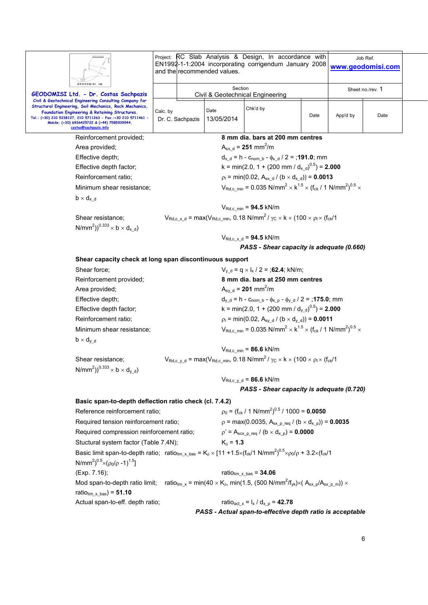